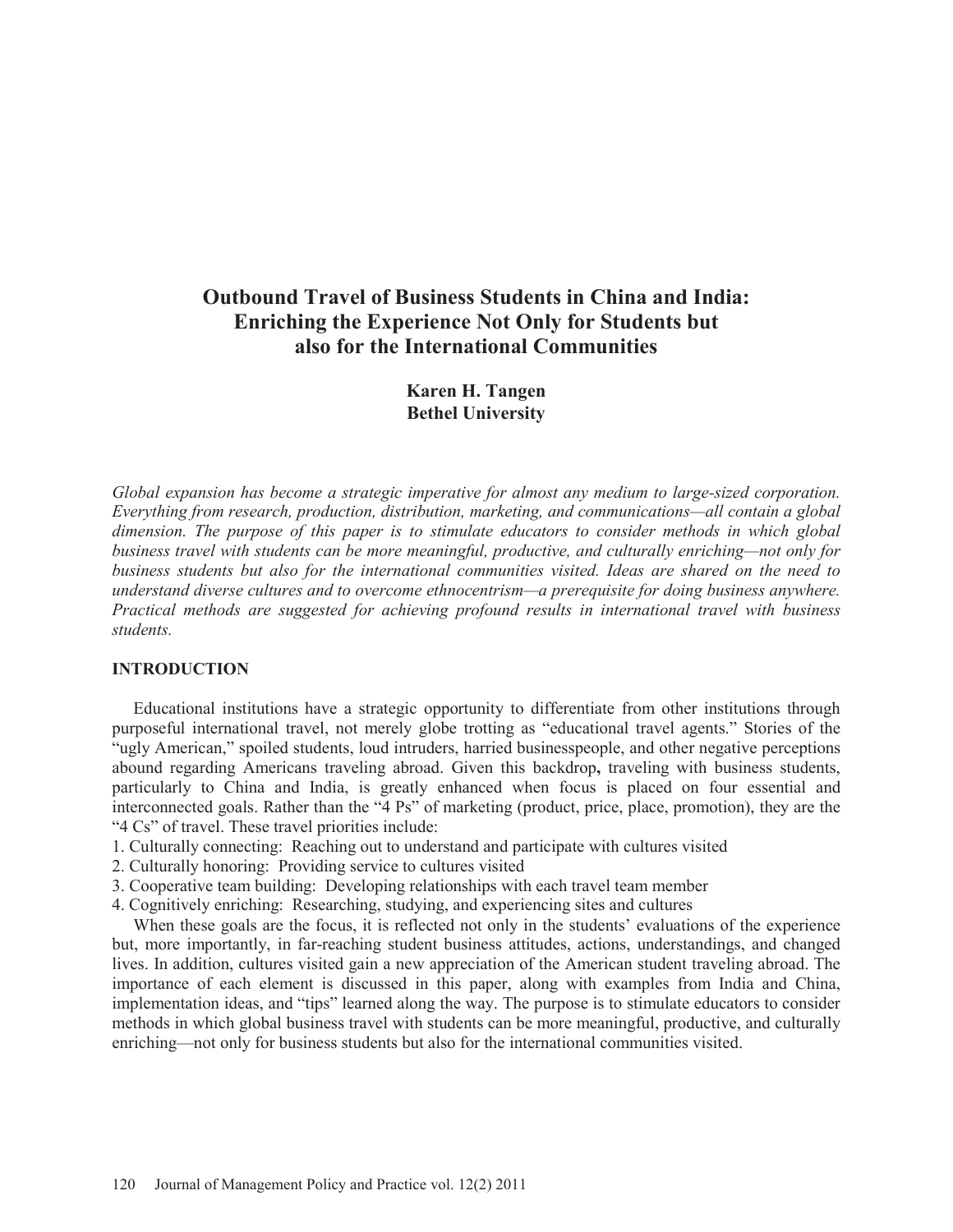# **Outbound Travel of Business Students in China and India: Enriching the Experience Not Only for Students but also for the International Communities**

**Karen H. Tangen Bethel University** 

*Global expansion has become a strategic imperative for almost any medium to large-sized corporation. Everything from research, production, distribution, marketing, and communications—all contain a global dimension. The purpose of this paper is to stimulate educators to consider methods in which global business travel with students can be more meaningful, productive, and culturally enriching—not only for business students but also for the international communities visited. Ideas are shared on the need to understand diverse cultures and to overcome ethnocentrism—a prerequisite for doing business anywhere. Practical methods are suggested for achieving profound results in international travel with business students.* 

#### **INTRODUCTION**

 Educational institutions have a strategic opportunity to differentiate from other institutions through purposeful international travel, not merely globe trotting as "educational travel agents." Stories of the "ugly American," spoiled students, loud intruders, harried businesspeople, and other negative perceptions abound regarding Americans traveling abroad. Given this backdrop**,** traveling with business students, particularly to China and India, is greatly enhanced when focus is placed on four essential and interconnected goals. Rather than the "4 Ps" of marketing (product, price, place, promotion), they are the "4 Cs" of travel. These travel priorities include:

- 1. Culturally connecting: Reaching out to understand and participate with cultures visited
- 2. Culturally honoring: Providing service to cultures visited
- 3. Cooperative team building: Developing relationships with each travel team member
- 4. Cognitively enriching: Researching, studying, and experiencing sites and cultures

 When these goals are the focus, it is reflected not only in the students' evaluations of the experience but, more importantly, in far-reaching student business attitudes, actions, understandings, and changed lives. In addition, cultures visited gain a new appreciation of the American student traveling abroad. The importance of each element is discussed in this paper, along with examples from India and China, implementation ideas, and "tips" learned along the way. The purpose is to stimulate educators to consider methods in which global business travel with students can be more meaningful, productive, and culturally enriching—not only for business students but also for the international communities visited.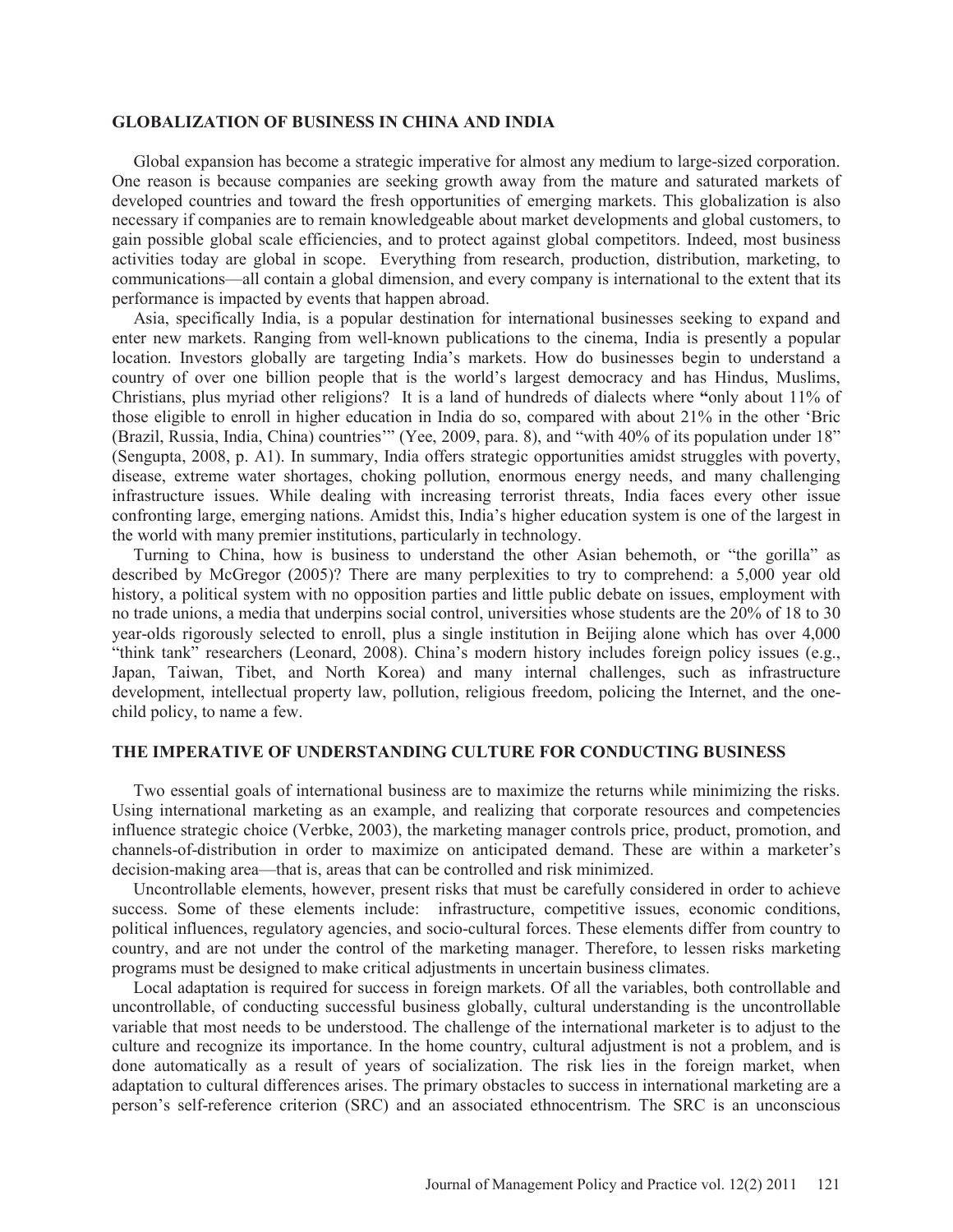#### **GLOBALIZATION OF BUSINESS IN CHINA AND INDIA**

 Global expansion has become a strategic imperative for almost any medium to large-sized corporation. One reason is because companies are seeking growth away from the mature and saturated markets of developed countries and toward the fresh opportunities of emerging markets. This globalization is also necessary if companies are to remain knowledgeable about market developments and global customers, to gain possible global scale efficiencies, and to protect against global competitors. Indeed, most business activities today are global in scope. Everything from research, production, distribution, marketing, to communications—all contain a global dimension, and every company is international to the extent that its performance is impacted by events that happen abroad.

 Asia, specifically India, is a popular destination for international businesses seeking to expand and enter new markets. Ranging from well-known publications to the cinema, India is presently a popular location. Investors globally are targeting India's markets. How do businesses begin to understand a country of over one billion people that is the world's largest democracy and has Hindus, Muslims, Christians, plus myriad other religions? It is a land of hundreds of dialects where **"**only about 11% of those eligible to enroll in higher education in India do so, compared with about 21% in the other 'Bric (Brazil, Russia, India, China) countries'" (Yee, 2009, para. 8), and "with 40% of its population under 18" (Sengupta, 2008, p. A1). In summary, India offers strategic opportunities amidst struggles with poverty, disease, extreme water shortages, choking pollution, enormous energy needs, and many challenging infrastructure issues. While dealing with increasing terrorist threats, India faces every other issue confronting large, emerging nations. Amidst this, India's higher education system is one of the largest in the world with many premier institutions, particularly in technology.

 Turning to China, how is business to understand the other Asian behemoth, or "the gorilla" as described by McGregor (2005)? There are many perplexities to try to comprehend: a 5,000 year old history, a political system with no opposition parties and little public debate on issues, employment with no trade unions, a media that underpins social control, universities whose students are the 20% of 18 to 30 year-olds rigorously selected to enroll, plus a single institution in Beijing alone which has over 4,000 "think tank" researchers (Leonard, 2008). China's modern history includes foreign policy issues (e.g., Japan, Taiwan, Tibet, and North Korea) and many internal challenges, such as infrastructure development, intellectual property law, pollution, religious freedom, policing the Internet, and the onechild policy, to name a few.

### **THE IMPERATIVE OF UNDERSTANDING CULTURE FOR CONDUCTING BUSINESS**

 Two essential goals of international business are to maximize the returns while minimizing the risks. Using international marketing as an example, and realizing that corporate resources and competencies influence strategic choice (Verbke, 2003), the marketing manager controls price, product, promotion, and channels-of-distribution in order to maximize on anticipated demand. These are within a marketer's decision-making area—that is, areas that can be controlled and risk minimized.

 Uncontrollable elements, however, present risks that must be carefully considered in order to achieve success. Some of these elements include: infrastructure, competitive issues, economic conditions, political influences, regulatory agencies, and socio-cultural forces. These elements differ from country to country, and are not under the control of the marketing manager. Therefore, to lessen risks marketing programs must be designed to make critical adjustments in uncertain business climates.

 Local adaptation is required for success in foreign markets. Of all the variables, both controllable and uncontrollable, of conducting successful business globally, cultural understanding is the uncontrollable variable that most needs to be understood. The challenge of the international marketer is to adjust to the culture and recognize its importance. In the home country, cultural adjustment is not a problem, and is done automatically as a result of years of socialization. The risk lies in the foreign market, when adaptation to cultural differences arises. The primary obstacles to success in international marketing are a person's self-reference criterion (SRC) and an associated ethnocentrism. The SRC is an unconscious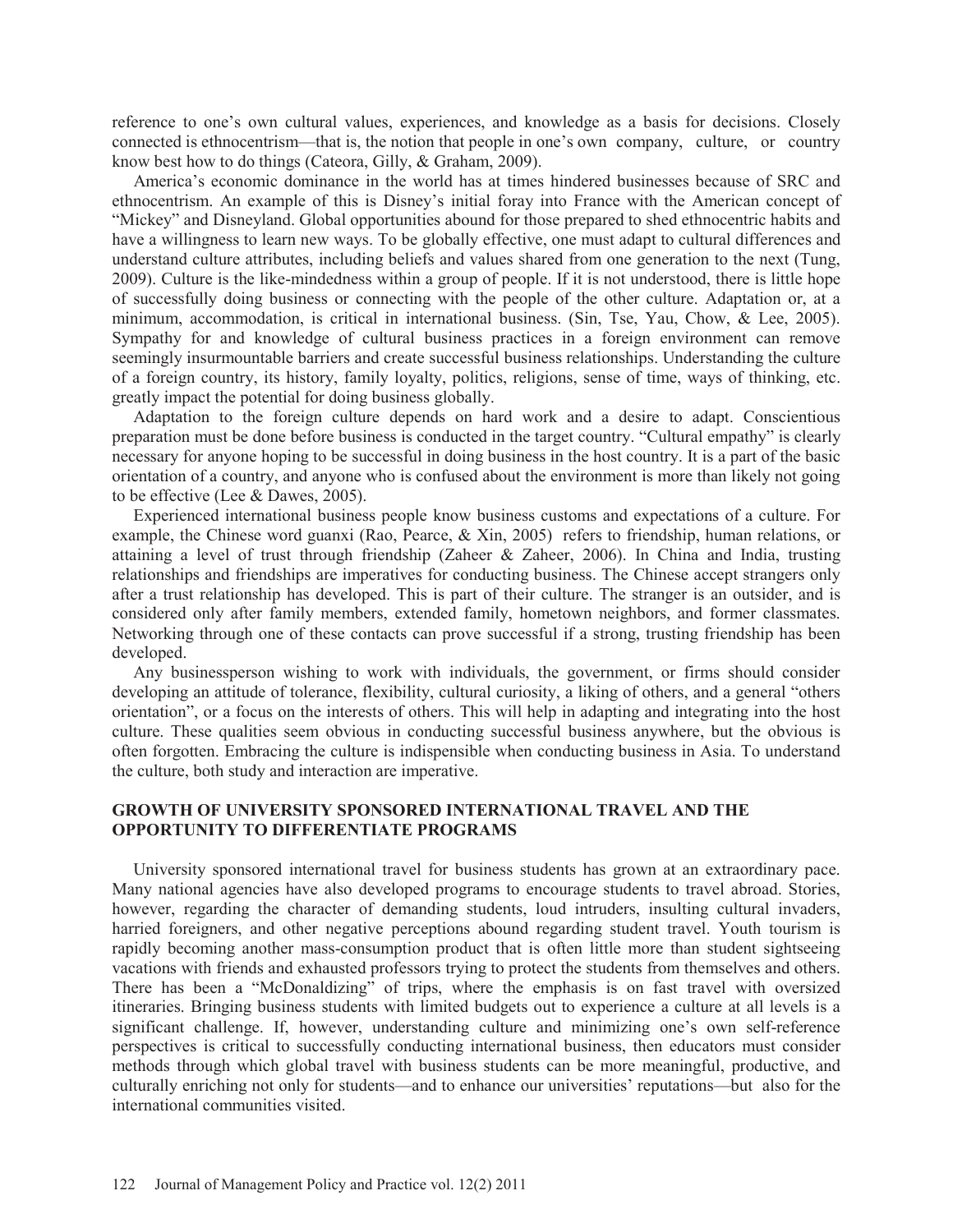reference to one's own cultural values, experiences, and knowledge as a basis for decisions. Closely connected is ethnocentrism—that is, the notion that people in one's own company, culture, or country know best how to do things (Cateora, Gilly, & Graham, 2009).

 America's economic dominance in the world has at times hindered businesses because of SRC and ethnocentrism. An example of this is Disney's initial foray into France with the American concept of "Mickey" and Disneyland. Global opportunities abound for those prepared to shed ethnocentric habits and have a willingness to learn new ways. To be globally effective, one must adapt to cultural differences and understand culture attributes, including beliefs and values shared from one generation to the next (Tung, 2009). Culture is the like-mindedness within a group of people. If it is not understood, there is little hope of successfully doing business or connecting with the people of the other culture. Adaptation or, at a minimum, accommodation, is critical in international business. (Sin, Tse, Yau, Chow, & Lee, 2005). Sympathy for and knowledge of cultural business practices in a foreign environment can remove seemingly insurmountable barriers and create successful business relationships. Understanding the culture of a foreign country, its history, family loyalty, politics, religions, sense of time, ways of thinking, etc. greatly impact the potential for doing business globally.

 Adaptation to the foreign culture depends on hard work and a desire to adapt. Conscientious preparation must be done before business is conducted in the target country. "Cultural empathy" is clearly necessary for anyone hoping to be successful in doing business in the host country. It is a part of the basic orientation of a country, and anyone who is confused about the environment is more than likely not going to be effective (Lee & Dawes, 2005).

 Experienced international business people know business customs and expectations of a culture. For example, the Chinese word guanxi (Rao, Pearce, & Xin, 2005) refers to friendship, human relations, or attaining a level of trust through friendship (Zaheer & Zaheer, 2006). In China and India, trusting relationships and friendships are imperatives for conducting business. The Chinese accept strangers only after a trust relationship has developed. This is part of their culture. The stranger is an outsider, and is considered only after family members, extended family, hometown neighbors, and former classmates. Networking through one of these contacts can prove successful if a strong, trusting friendship has been developed.

 Any businessperson wishing to work with individuals, the government, or firms should consider developing an attitude of tolerance, flexibility, cultural curiosity, a liking of others, and a general "others orientation", or a focus on the interests of others. This will help in adapting and integrating into the host culture. These qualities seem obvious in conducting successful business anywhere, but the obvious is often forgotten. Embracing the culture is indispensible when conducting business in Asia. To understand the culture, both study and interaction are imperative.

## **GROWTH OF UNIVERSITY SPONSORED INTERNATIONAL TRAVEL AND THE OPPORTUNITY TO DIFFERENTIATE PROGRAMS**

 University sponsored international travel for business students has grown at an extraordinary pace. Many national agencies have also developed programs to encourage students to travel abroad. Stories, however, regarding the character of demanding students, loud intruders, insulting cultural invaders, harried foreigners, and other negative perceptions abound regarding student travel. Youth tourism is rapidly becoming another mass-consumption product that is often little more than student sightseeing vacations with friends and exhausted professors trying to protect the students from themselves and others. There has been a "McDonaldizing" of trips, where the emphasis is on fast travel with oversized itineraries. Bringing business students with limited budgets out to experience a culture at all levels is a significant challenge. If, however, understanding culture and minimizing one's own self-reference perspectives is critical to successfully conducting international business, then educators must consider methods through which global travel with business students can be more meaningful, productive, and culturally enriching not only for students—and to enhance our universities' reputations—but also for the international communities visited.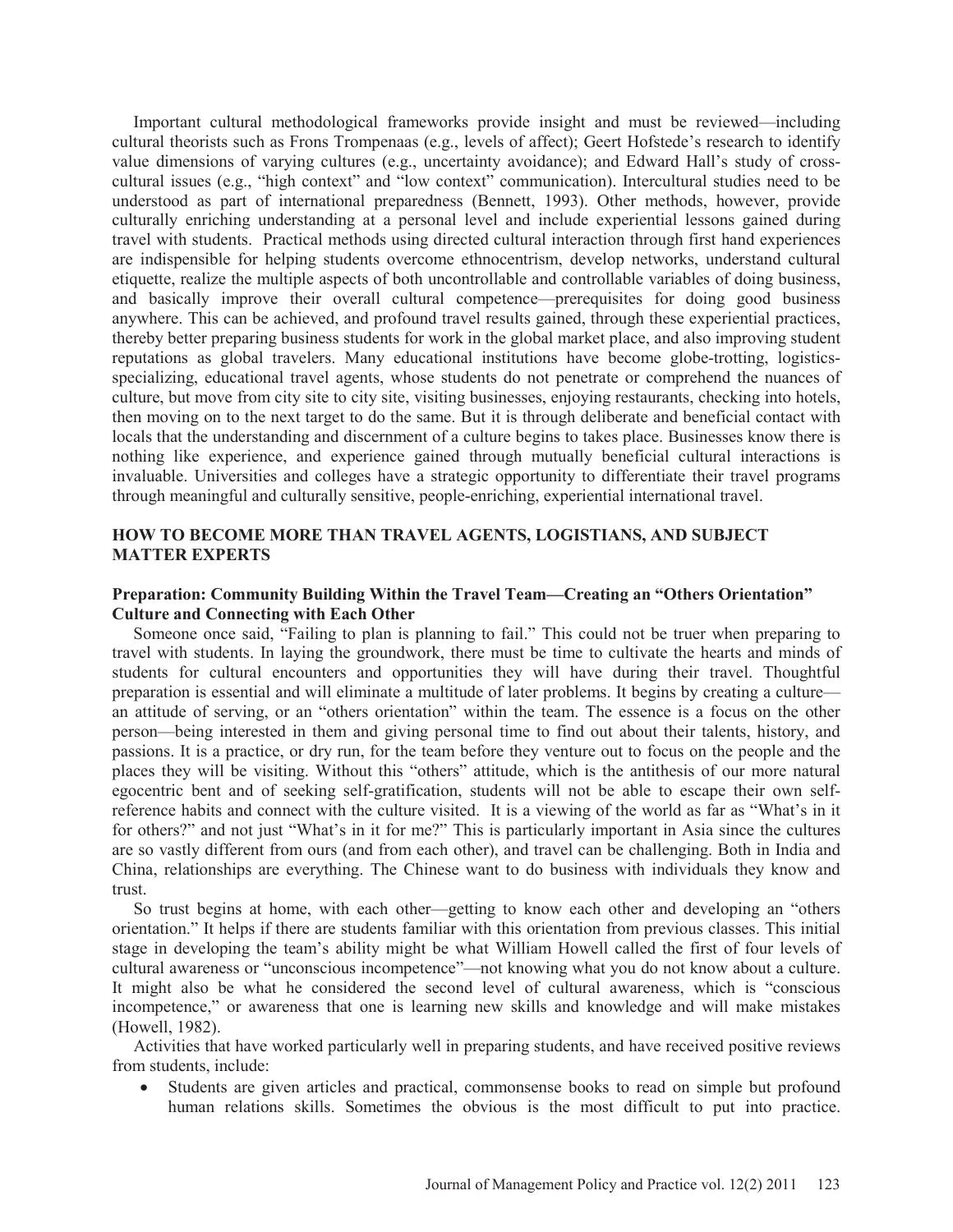Important cultural methodological frameworks provide insight and must be reviewed—including cultural theorists such as Frons Trompenaas (e.g., levels of affect); Geert Hofstede's research to identify value dimensions of varying cultures (e.g., uncertainty avoidance); and Edward Hall's study of crosscultural issues (e.g., "high context" and "low context" communication). Intercultural studies need to be understood as part of international preparedness (Bennett, 1993). Other methods, however, provide culturally enriching understanding at a personal level and include experiential lessons gained during travel with students. Practical methods using directed cultural interaction through first hand experiences are indispensible for helping students overcome ethnocentrism, develop networks, understand cultural etiquette, realize the multiple aspects of both uncontrollable and controllable variables of doing business, and basically improve their overall cultural competence—prerequisites for doing good business anywhere. This can be achieved, and profound travel results gained, through these experiential practices, thereby better preparing business students for work in the global market place, and also improving student reputations as global travelers. Many educational institutions have become globe-trotting, logisticsspecializing, educational travel agents, whose students do not penetrate or comprehend the nuances of culture, but move from city site to city site, visiting businesses, enjoying restaurants, checking into hotels, then moving on to the next target to do the same. But it is through deliberate and beneficial contact with locals that the understanding and discernment of a culture begins to takes place. Businesses know there is nothing like experience, and experience gained through mutually beneficial cultural interactions is invaluable. Universities and colleges have a strategic opportunity to differentiate their travel programs through meaningful and culturally sensitive, people-enriching, experiential international travel.

## **HOW TO BECOME MORE THAN TRAVEL AGENTS, LOGISTIANS, AND SUBJECT MATTER EXPERTS**

## **Preparation: Community Building Within the Travel Team—Creating an "Others Orientation" Culture and Connecting with Each Other**

 Someone once said, "Failing to plan is planning to fail." This could not be truer when preparing to travel with students. In laying the groundwork, there must be time to cultivate the hearts and minds of students for cultural encounters and opportunities they will have during their travel. Thoughtful preparation is essential and will eliminate a multitude of later problems. It begins by creating a culture an attitude of serving, or an "others orientation" within the team. The essence is a focus on the other person—being interested in them and giving personal time to find out about their talents, history, and passions. It is a practice, or dry run, for the team before they venture out to focus on the people and the places they will be visiting. Without this "others" attitude, which is the antithesis of our more natural egocentric bent and of seeking self-gratification, students will not be able to escape their own selfreference habits and connect with the culture visited. It is a viewing of the world as far as "What's in it for others?" and not just "What's in it for me?" This is particularly important in Asia since the cultures are so vastly different from ours (and from each other), and travel can be challenging. Both in India and China, relationships are everything. The Chinese want to do business with individuals they know and trust.

 So trust begins at home, with each other—getting to know each other and developing an "others orientation." It helps if there are students familiar with this orientation from previous classes. This initial stage in developing the team's ability might be what William Howell called the first of four levels of cultural awareness or "unconscious incompetence"—not knowing what you do not know about a culture. It might also be what he considered the second level of cultural awareness, which is "conscious incompetence," or awareness that one is learning new skills and knowledge and will make mistakes (Howell, 1982).

 Activities that have worked particularly well in preparing students, and have received positive reviews from students, include:

• Students are given articles and practical, commonsense books to read on simple but profound human relations skills. Sometimes the obvious is the most difficult to put into practice.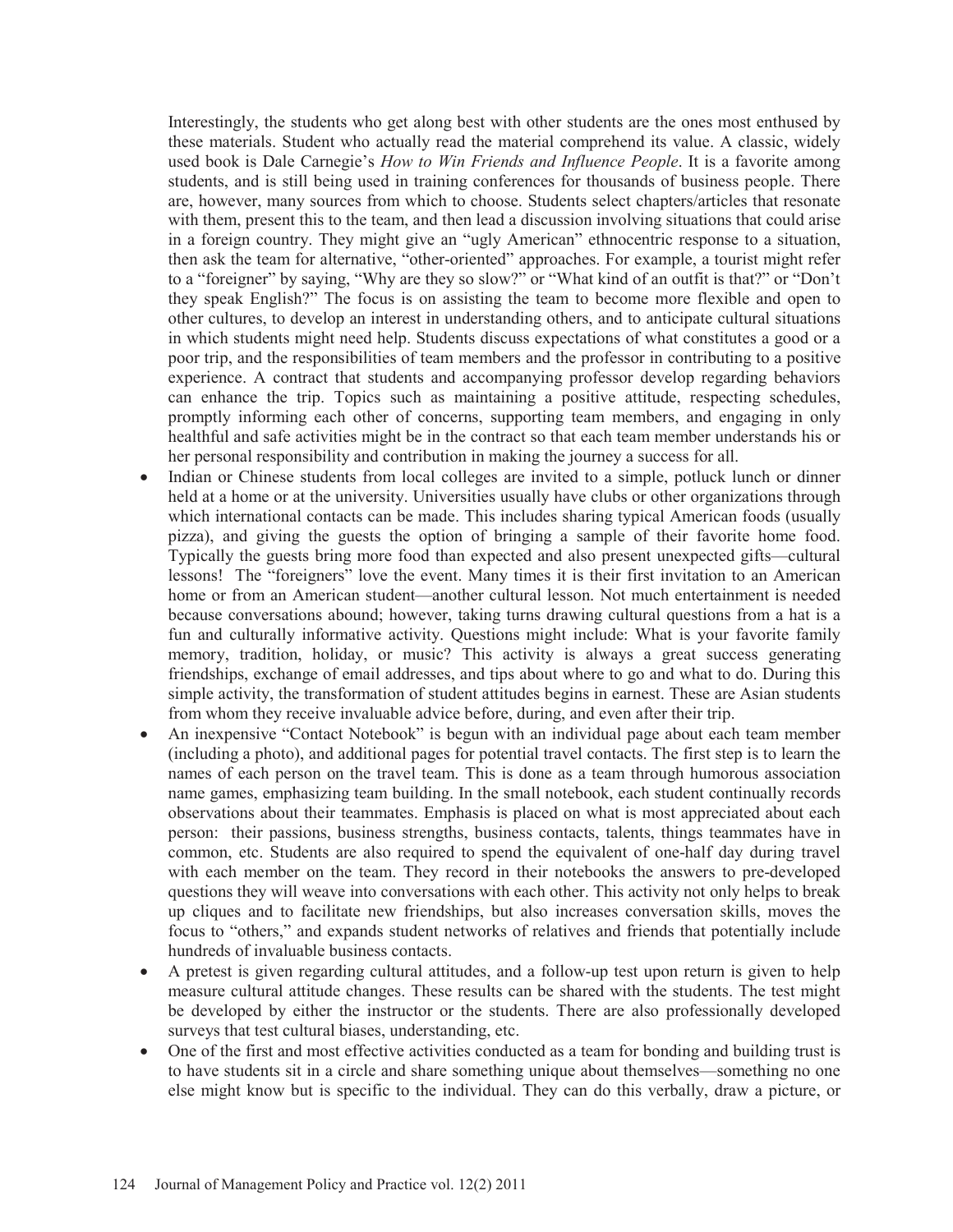Interestingly, the students who get along best with other students are the ones most enthused by these materials. Student who actually read the material comprehend its value. A classic, widely used book is Dale Carnegie's *How to Win Friends and Influence People*. It is a favorite among students, and is still being used in training conferences for thousands of business people. There are, however, many sources from which to choose. Students select chapters/articles that resonate with them, present this to the team, and then lead a discussion involving situations that could arise in a foreign country. They might give an "ugly American" ethnocentric response to a situation, then ask the team for alternative, "other-oriented" approaches. For example, a tourist might refer to a "foreigner" by saying, "Why are they so slow?" or "What kind of an outfit is that?" or "Don't they speak English?" The focus is on assisting the team to become more flexible and open to other cultures, to develop an interest in understanding others, and to anticipate cultural situations in which students might need help. Students discuss expectations of what constitutes a good or a poor trip, and the responsibilities of team members and the professor in contributing to a positive experience. A contract that students and accompanying professor develop regarding behaviors can enhance the trip. Topics such as maintaining a positive attitude, respecting schedules, promptly informing each other of concerns, supporting team members, and engaging in only healthful and safe activities might be in the contract so that each team member understands his or her personal responsibility and contribution in making the journey a success for all.

- Indian or Chinese students from local colleges are invited to a simple, potluck lunch or dinner held at a home or at the university. Universities usually have clubs or other organizations through which international contacts can be made. This includes sharing typical American foods (usually pizza), and giving the guests the option of bringing a sample of their favorite home food. Typically the guests bring more food than expected and also present unexpected gifts—cultural lessons! The "foreigners" love the event. Many times it is their first invitation to an American home or from an American student—another cultural lesson. Not much entertainment is needed because conversations abound; however, taking turns drawing cultural questions from a hat is a fun and culturally informative activity. Questions might include: What is your favorite family memory, tradition, holiday, or music? This activity is always a great success generating friendships, exchange of email addresses, and tips about where to go and what to do. During this simple activity, the transformation of student attitudes begins in earnest. These are Asian students from whom they receive invaluable advice before, during, and even after their trip.
- An inexpensive "Contact Notebook" is begun with an individual page about each team member (including a photo), and additional pages for potential travel contacts. The first step is to learn the names of each person on the travel team. This is done as a team through humorous association name games, emphasizing team building. In the small notebook, each student continually records observations about their teammates. Emphasis is placed on what is most appreciated about each person: their passions, business strengths, business contacts, talents, things teammates have in common, etc. Students are also required to spend the equivalent of one-half day during travel with each member on the team. They record in their notebooks the answers to pre-developed questions they will weave into conversations with each other. This activity not only helps to break up cliques and to facilitate new friendships, but also increases conversation skills, moves the focus to "others," and expands student networks of relatives and friends that potentially include hundreds of invaluable business contacts.
- A pretest is given regarding cultural attitudes, and a follow-up test upon return is given to help measure cultural attitude changes. These results can be shared with the students. The test might be developed by either the instructor or the students. There are also professionally developed surveys that test cultural biases, understanding, etc.
- One of the first and most effective activities conducted as a team for bonding and building trust is to have students sit in a circle and share something unique about themselves—something no one else might know but is specific to the individual. They can do this verbally, draw a picture, or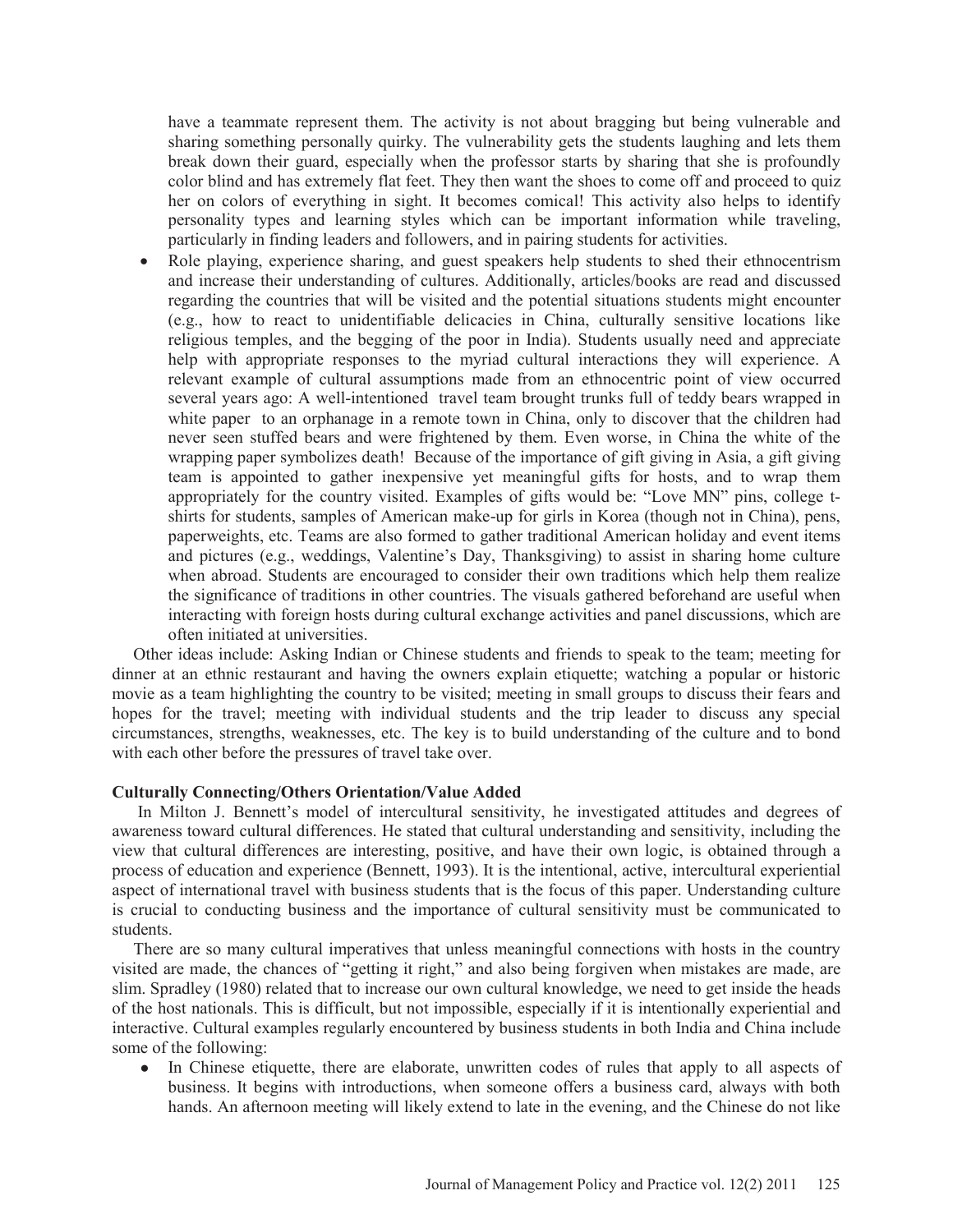have a teammate represent them. The activity is not about bragging but being vulnerable and sharing something personally quirky. The vulnerability gets the students laughing and lets them break down their guard, especially when the professor starts by sharing that she is profoundly color blind and has extremely flat feet. They then want the shoes to come off and proceed to quiz her on colors of everything in sight. It becomes comical! This activity also helps to identify personality types and learning styles which can be important information while traveling, particularly in finding leaders and followers, and in pairing students for activities.

Role playing, experience sharing, and guest speakers help students to shed their ethnocentrism and increase their understanding of cultures. Additionally, articles/books are read and discussed regarding the countries that will be visited and the potential situations students might encounter (e.g., how to react to unidentifiable delicacies in China, culturally sensitive locations like religious temples, and the begging of the poor in India). Students usually need and appreciate help with appropriate responses to the myriad cultural interactions they will experience. A relevant example of cultural assumptions made from an ethnocentric point of view occurred several years ago: A well-intentioned travel team brought trunks full of teddy bears wrapped in white paper to an orphanage in a remote town in China, only to discover that the children had never seen stuffed bears and were frightened by them. Even worse, in China the white of the wrapping paper symbolizes death! Because of the importance of gift giving in Asia, a gift giving team is appointed to gather inexpensive yet meaningful gifts for hosts, and to wrap them appropriately for the country visited. Examples of gifts would be: "Love MN" pins, college tshirts for students, samples of American make-up for girls in Korea (though not in China), pens, paperweights, etc. Teams are also formed to gather traditional American holiday and event items and pictures (e.g., weddings, Valentine's Day, Thanksgiving) to assist in sharing home culture when abroad. Students are encouraged to consider their own traditions which help them realize the significance of traditions in other countries. The visuals gathered beforehand are useful when interacting with foreign hosts during cultural exchange activities and panel discussions, which are often initiated at universities.

 Other ideas include: Asking Indian or Chinese students and friends to speak to the team; meeting for dinner at an ethnic restaurant and having the owners explain etiquette; watching a popular or historic movie as a team highlighting the country to be visited; meeting in small groups to discuss their fears and hopes for the travel; meeting with individual students and the trip leader to discuss any special circumstances, strengths, weaknesses, etc. The key is to build understanding of the culture and to bond with each other before the pressures of travel take over.

#### **Culturally Connecting/Others Orientation/Value Added**

 In Milton J. Bennett's model of intercultural sensitivity, he investigated attitudes and degrees of awareness toward cultural differences. He stated that cultural understanding and sensitivity, including the view that cultural differences are interesting, positive, and have their own logic, is obtained through a process of education and experience (Bennett, 1993). It is the intentional, active, intercultural experiential aspect of international travel with business students that is the focus of this paper. Understanding culture is crucial to conducting business and the importance of cultural sensitivity must be communicated to students.

 There are so many cultural imperatives that unless meaningful connections with hosts in the country visited are made, the chances of "getting it right," and also being forgiven when mistakes are made, are slim. Spradley (1980) related that to increase our own cultural knowledge, we need to get inside the heads of the host nationals. This is difficult, but not impossible, especially if it is intentionally experiential and interactive. Cultural examples regularly encountered by business students in both India and China include some of the following:

• In Chinese etiquette, there are elaborate, unwritten codes of rules that apply to all aspects of business. It begins with introductions, when someone offers a business card, always with both hands. An afternoon meeting will likely extend to late in the evening, and the Chinese do not like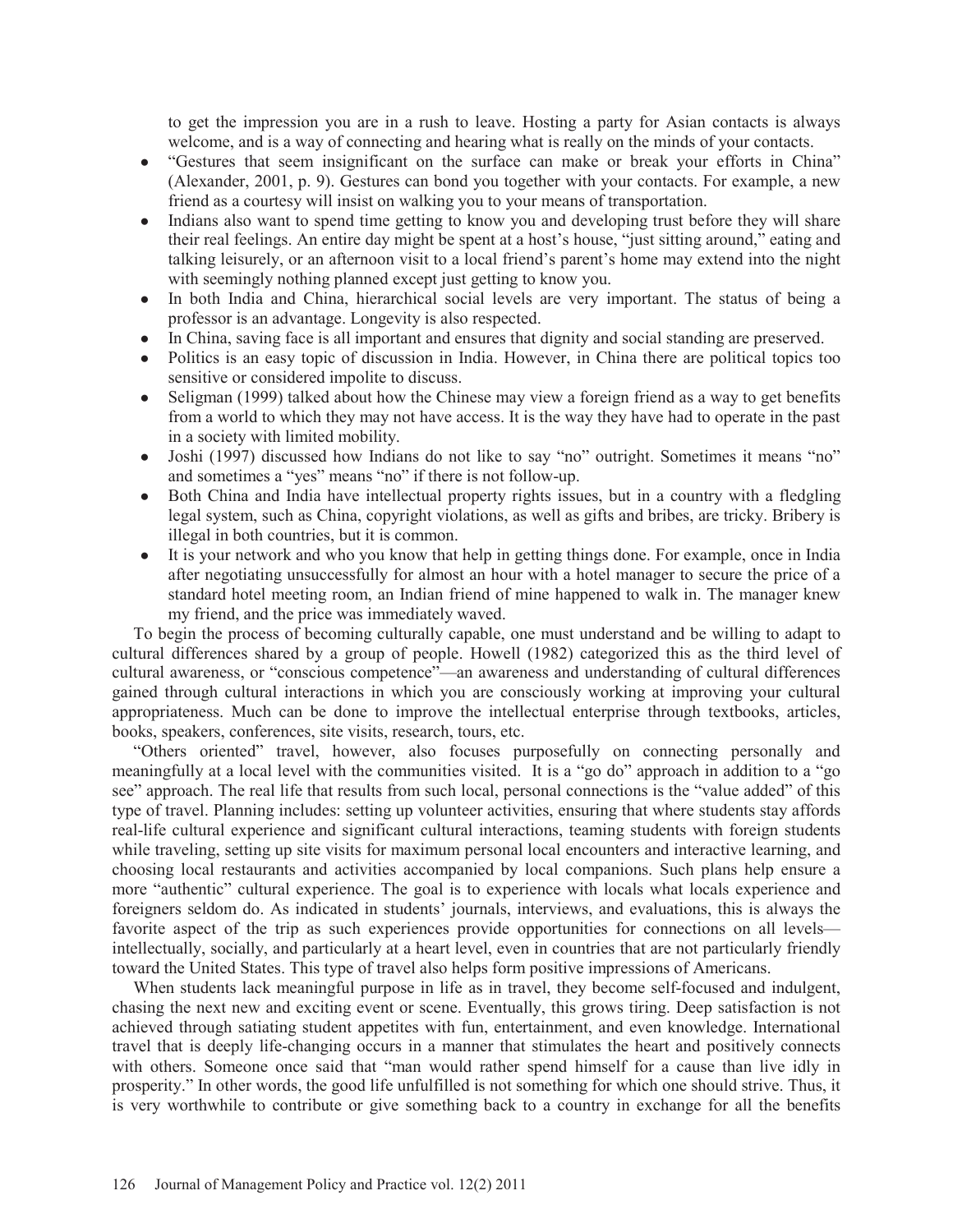to get the impression you are in a rush to leave. Hosting a party for Asian contacts is always welcome, and is a way of connecting and hearing what is really on the minds of your contacts.

- ł "Gestures that seem insignificant on the surface can make or break your efforts in China" (Alexander, 2001, p. 9). Gestures can bond you together with your contacts. For example, a new friend as a courtesy will insist on walking you to your means of transportation.
- Indians also want to spend time getting to know you and developing trust before they will share their real feelings. An entire day might be spent at a host's house, "just sitting around," eating and talking leisurely, or an afternoon visit to a local friend's parent's home may extend into the night with seemingly nothing planned except just getting to know you.
- In both India and China, hierarchical social levels are very important. The status of being a professor is an advantage. Longevity is also respected.
- In China, saving face is all important and ensures that dignity and social standing are preserved.
- ł Politics is an easy topic of discussion in India. However, in China there are political topics too sensitive or considered impolite to discuss.
- $\bullet$  Seligman (1999) talked about how the Chinese may view a foreign friend as a way to get benefits from a world to which they may not have access. It is the way they have had to operate in the past in a society with limited mobility.
- Joshi (1997) discussed how Indians do not like to say "no" outright. Sometimes it means "no" and sometimes a "yes" means "no" if there is not follow-up.
- ł Both China and India have intellectual property rights issues, but in a country with a fledgling legal system, such as China, copyright violations, as well as gifts and bribes, are tricky. Bribery is illegal in both countries, but it is common.
- ł It is your network and who you know that help in getting things done. For example, once in India after negotiating unsuccessfully for almost an hour with a hotel manager to secure the price of a standard hotel meeting room, an Indian friend of mine happened to walk in. The manager knew my friend, and the price was immediately waved.

 To begin the process of becoming culturally capable, one must understand and be willing to adapt to cultural differences shared by a group of people. Howell (1982) categorized this as the third level of cultural awareness, or "conscious competence"—an awareness and understanding of cultural differences gained through cultural interactions in which you are consciously working at improving your cultural appropriateness. Much can be done to improve the intellectual enterprise through textbooks, articles, books, speakers, conferences, site visits, research, tours, etc.

 "Others oriented" travel, however, also focuses purposefully on connecting personally and meaningfully at a local level with the communities visited. It is a "go do" approach in addition to a "go see" approach. The real life that results from such local, personal connections is the "value added" of this type of travel. Planning includes: setting up volunteer activities, ensuring that where students stay affords real-life cultural experience and significant cultural interactions, teaming students with foreign students while traveling, setting up site visits for maximum personal local encounters and interactive learning, and choosing local restaurants and activities accompanied by local companions. Such plans help ensure a more "authentic" cultural experience. The goal is to experience with locals what locals experience and foreigners seldom do. As indicated in students' journals, interviews, and evaluations, this is always the favorite aspect of the trip as such experiences provide opportunities for connections on all levels intellectually, socially, and particularly at a heart level, even in countries that are not particularly friendly toward the United States. This type of travel also helps form positive impressions of Americans.

 When students lack meaningful purpose in life as in travel, they become self-focused and indulgent, chasing the next new and exciting event or scene. Eventually, this grows tiring. Deep satisfaction is not achieved through satiating student appetites with fun, entertainment, and even knowledge. International travel that is deeply life-changing occurs in a manner that stimulates the heart and positively connects with others. Someone once said that "man would rather spend himself for a cause than live idly in prosperity." In other words, the good life unfulfilled is not something for which one should strive. Thus, it is very worthwhile to contribute or give something back to a country in exchange for all the benefits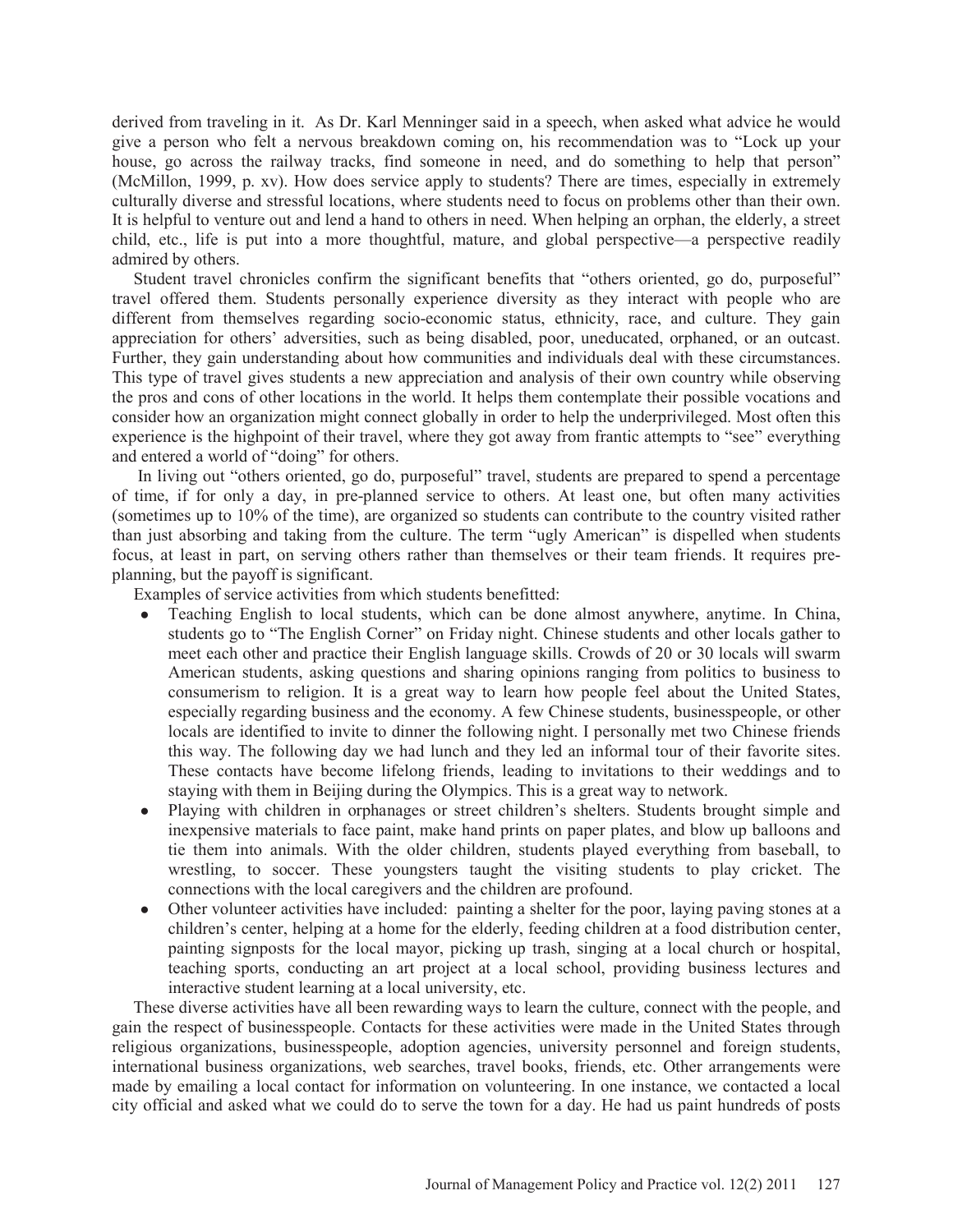derived from traveling in it. As Dr. Karl Menninger said in a speech, when asked what advice he would give a person who felt a nervous breakdown coming on, his recommendation was to "Lock up your house, go across the railway tracks, find someone in need, and do something to help that person" (McMillon, 1999, p. xv). How does service apply to students? There are times, especially in extremely culturally diverse and stressful locations, where students need to focus on problems other than their own. It is helpful to venture out and lend a hand to others in need. When helping an orphan, the elderly, a street child, etc., life is put into a more thoughtful, mature, and global perspective—a perspective readily admired by others.

 Student travel chronicles confirm the significant benefits that "others oriented, go do, purposeful" travel offered them. Students personally experience diversity as they interact with people who are different from themselves regarding socio-economic status, ethnicity, race, and culture. They gain appreciation for others' adversities, such as being disabled, poor, uneducated, orphaned, or an outcast. Further, they gain understanding about how communities and individuals deal with these circumstances. This type of travel gives students a new appreciation and analysis of their own country while observing the pros and cons of other locations in the world. It helps them contemplate their possible vocations and consider how an organization might connect globally in order to help the underprivileged. Most often this experience is the highpoint of their travel, where they got away from frantic attempts to "see" everything and entered a world of "doing" for others.

 In living out "others oriented, go do, purposeful" travel, students are prepared to spend a percentage of time, if for only a day, in pre-planned service to others. At least one, but often many activities (sometimes up to 10% of the time), are organized so students can contribute to the country visited rather than just absorbing and taking from the culture. The term "ugly American" is dispelled when students focus, at least in part, on serving others rather than themselves or their team friends. It requires preplanning, but the payoff is significant.

Examples of service activities from which students benefitted:

- Teaching English to local students, which can be done almost anywhere, anytime. In China, students go to "The English Corner" on Friday night. Chinese students and other locals gather to meet each other and practice their English language skills. Crowds of 20 or 30 locals will swarm American students, asking questions and sharing opinions ranging from politics to business to consumerism to religion. It is a great way to learn how people feel about the United States, especially regarding business and the economy. A few Chinese students, businesspeople, or other locals are identified to invite to dinner the following night. I personally met two Chinese friends this way. The following day we had lunch and they led an informal tour of their favorite sites. These contacts have become lifelong friends, leading to invitations to their weddings and to staying with them in Beijing during the Olympics. This is a great way to network.
- Playing with children in orphanages or street children's shelters. Students brought simple and inexpensive materials to face paint, make hand prints on paper plates, and blow up balloons and tie them into animals. With the older children, students played everything from baseball, to wrestling, to soccer. These youngsters taught the visiting students to play cricket. The connections with the local caregivers and the children are profound.
- Other volunteer activities have included: painting a shelter for the poor, laying paving stones at a children's center, helping at a home for the elderly, feeding children at a food distribution center, painting signposts for the local mayor, picking up trash, singing at a local church or hospital, teaching sports, conducting an art project at a local school, providing business lectures and interactive student learning at a local university, etc.

 These diverse activities have all been rewarding ways to learn the culture, connect with the people, and gain the respect of businesspeople. Contacts for these activities were made in the United States through religious organizations, businesspeople, adoption agencies, university personnel and foreign students, international business organizations, web searches, travel books, friends, etc. Other arrangements were made by emailing a local contact for information on volunteering. In one instance, we contacted a local city official and asked what we could do to serve the town for a day. He had us paint hundreds of posts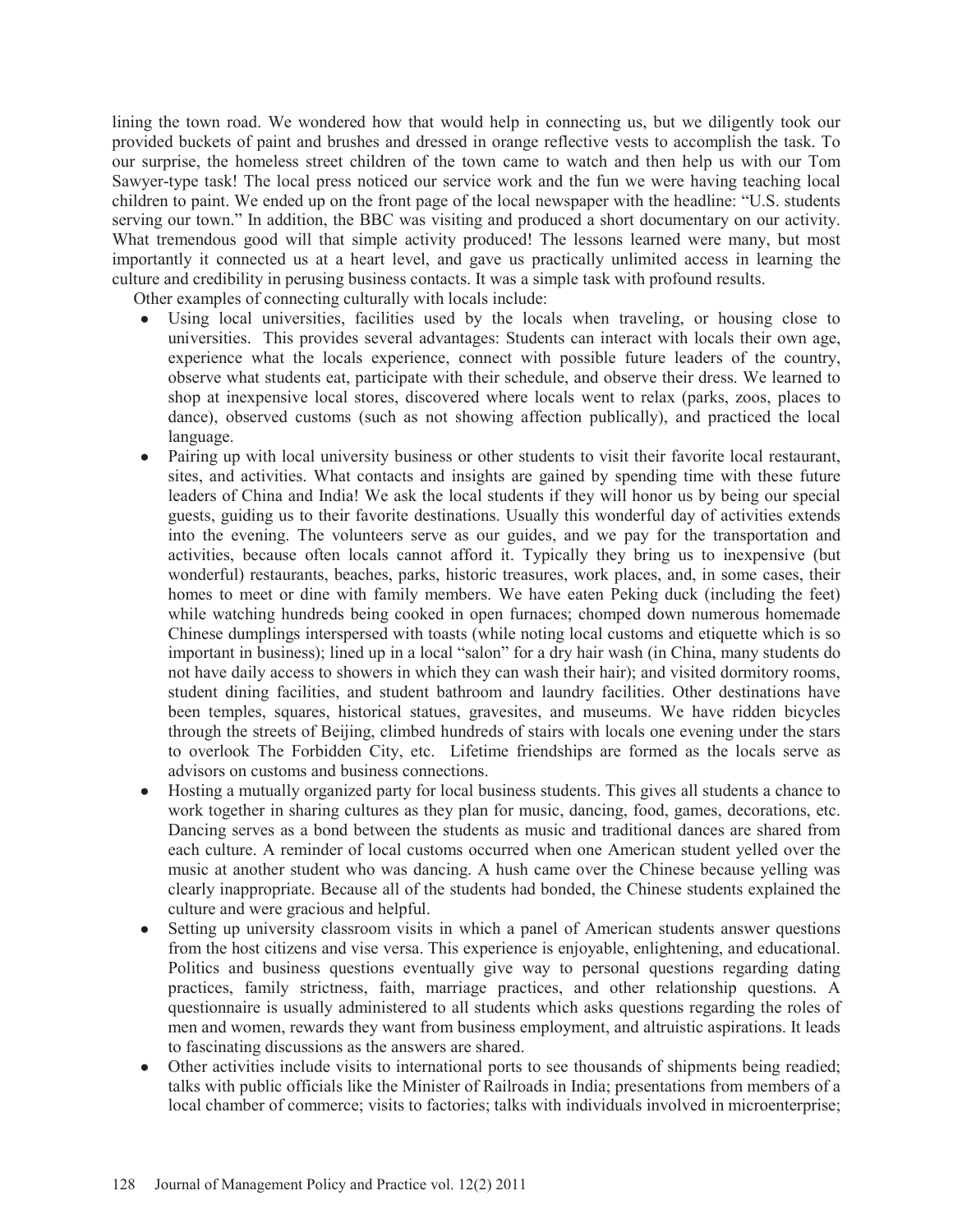lining the town road. We wondered how that would help in connecting us, but we diligently took our provided buckets of paint and brushes and dressed in orange reflective vests to accomplish the task. To our surprise, the homeless street children of the town came to watch and then help us with our Tom Sawyer-type task! The local press noticed our service work and the fun we were having teaching local children to paint. We ended up on the front page of the local newspaper with the headline: "U.S. students serving our town." In addition, the BBC was visiting and produced a short documentary on our activity. What tremendous good will that simple activity produced! The lessons learned were many, but most importantly it connected us at a heart level, and gave us practically unlimited access in learning the culture and credibility in perusing business contacts. It was a simple task with profound results.

Other examples of connecting culturally with locals include:

- Using local universities, facilities used by the locals when traveling, or housing close to universities. This provides several advantages: Students can interact with locals their own age, experience what the locals experience, connect with possible future leaders of the country, observe what students eat, participate with their schedule, and observe their dress. We learned to shop at inexpensive local stores, discovered where locals went to relax (parks, zoos, places to dance), observed customs (such as not showing affection publically), and practiced the local language.
- ł Pairing up with local university business or other students to visit their favorite local restaurant, sites, and activities. What contacts and insights are gained by spending time with these future leaders of China and India! We ask the local students if they will honor us by being our special guests, guiding us to their favorite destinations. Usually this wonderful day of activities extends into the evening. The volunteers serve as our guides, and we pay for the transportation and activities, because often locals cannot afford it. Typically they bring us to inexpensive (but wonderful) restaurants, beaches, parks, historic treasures, work places, and, in some cases, their homes to meet or dine with family members. We have eaten Peking duck (including the feet) while watching hundreds being cooked in open furnaces; chomped down numerous homemade Chinese dumplings interspersed with toasts (while noting local customs and etiquette which is so important in business); lined up in a local "salon" for a dry hair wash (in China, many students do not have daily access to showers in which they can wash their hair); and visited dormitory rooms, student dining facilities, and student bathroom and laundry facilities. Other destinations have been temples, squares, historical statues, gravesites, and museums. We have ridden bicycles through the streets of Beijing, climbed hundreds of stairs with locals one evening under the stars to overlook The Forbidden City, etc. Lifetime friendships are formed as the locals serve as advisors on customs and business connections.
- ł Hosting a mutually organized party for local business students. This gives all students a chance to work together in sharing cultures as they plan for music, dancing, food, games, decorations, etc. Dancing serves as a bond between the students as music and traditional dances are shared from each culture. A reminder of local customs occurred when one American student yelled over the music at another student who was dancing. A hush came over the Chinese because yelling was clearly inappropriate. Because all of the students had bonded, the Chinese students explained the culture and were gracious and helpful.
- Setting up university classroom visits in which a panel of American students answer questions from the host citizens and vise versa. This experience is enjoyable, enlightening, and educational. Politics and business questions eventually give way to personal questions regarding dating practices, family strictness, faith, marriage practices, and other relationship questions. A questionnaire is usually administered to all students which asks questions regarding the roles of men and women, rewards they want from business employment, and altruistic aspirations. It leads to fascinating discussions as the answers are shared.
- Other activities include visits to international ports to see thousands of shipments being readied; talks with public officials like the Minister of Railroads in India; presentations from members of a local chamber of commerce; visits to factories; talks with individuals involved in microenterprise;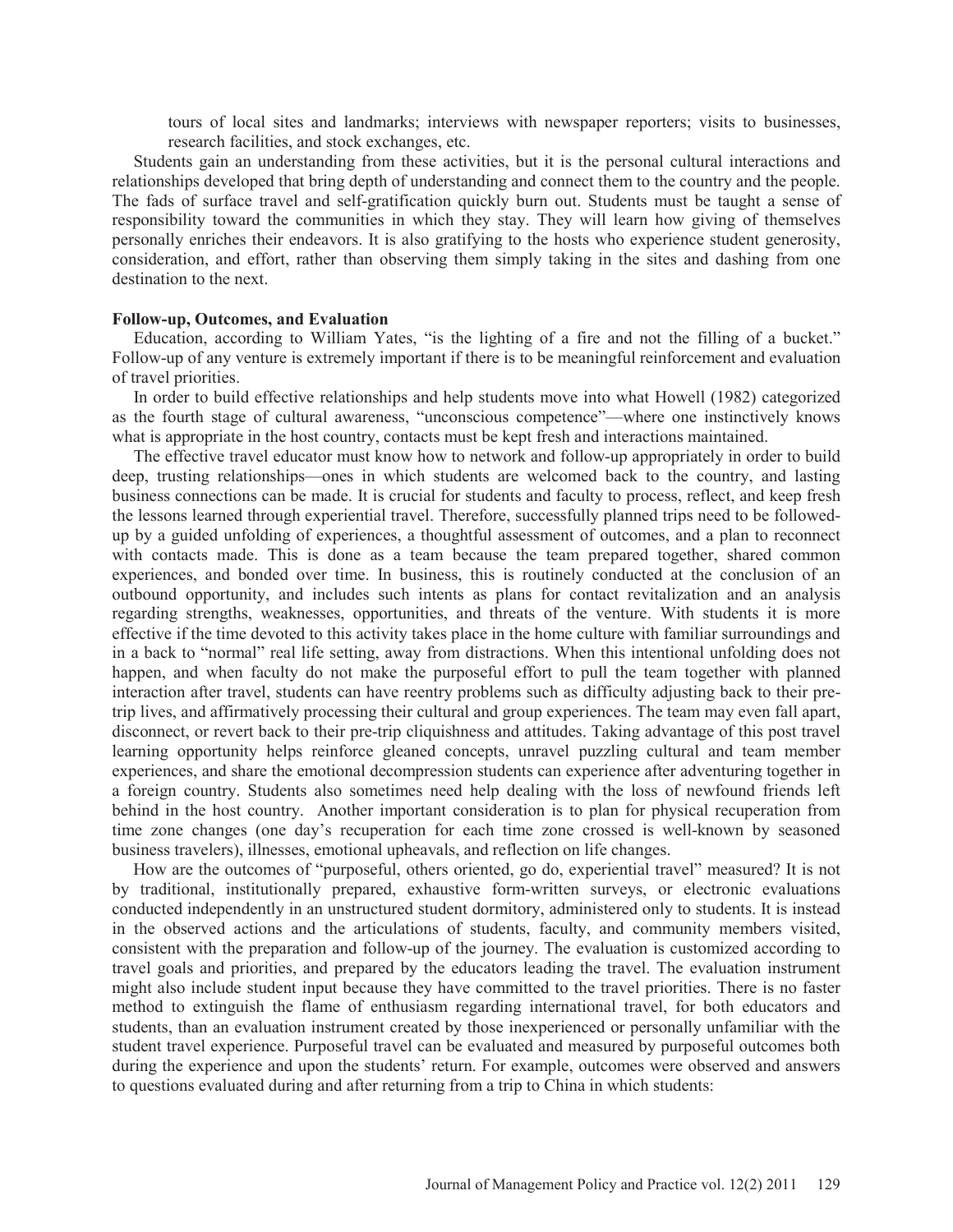tours of local sites and landmarks; interviews with newspaper reporters; visits to businesses, research facilities, and stock exchanges, etc.

 Students gain an understanding from these activities, but it is the personal cultural interactions and relationships developed that bring depth of understanding and connect them to the country and the people. The fads of surface travel and self-gratification quickly burn out. Students must be taught a sense of responsibility toward the communities in which they stay. They will learn how giving of themselves personally enriches their endeavors. It is also gratifying to the hosts who experience student generosity, consideration, and effort, rather than observing them simply taking in the sites and dashing from one destination to the next.

#### **Follow-up, Outcomes, and Evaluation**

 Education, according to William Yates, "is the lighting of a fire and not the filling of a bucket." Follow-up of any venture is extremely important if there is to be meaningful reinforcement and evaluation of travel priorities.

 In order to build effective relationships and help students move into what Howell (1982) categorized as the fourth stage of cultural awareness, "unconscious competence"—where one instinctively knows what is appropriate in the host country, contacts must be kept fresh and interactions maintained.

 The effective travel educator must know how to network and follow-up appropriately in order to build deep, trusting relationships—ones in which students are welcomed back to the country, and lasting business connections can be made. It is crucial for students and faculty to process, reflect, and keep fresh the lessons learned through experiential travel. Therefore, successfully planned trips need to be followedup by a guided unfolding of experiences, a thoughtful assessment of outcomes, and a plan to reconnect with contacts made. This is done as a team because the team prepared together, shared common experiences, and bonded over time. In business, this is routinely conducted at the conclusion of an outbound opportunity, and includes such intents as plans for contact revitalization and an analysis regarding strengths, weaknesses, opportunities, and threats of the venture. With students it is more effective if the time devoted to this activity takes place in the home culture with familiar surroundings and in a back to "normal" real life setting, away from distractions. When this intentional unfolding does not happen, and when faculty do not make the purposeful effort to pull the team together with planned interaction after travel, students can have reentry problems such as difficulty adjusting back to their pretrip lives, and affirmatively processing their cultural and group experiences. The team may even fall apart, disconnect, or revert back to their pre-trip cliquishness and attitudes. Taking advantage of this post travel learning opportunity helps reinforce gleaned concepts, unravel puzzling cultural and team member experiences, and share the emotional decompression students can experience after adventuring together in a foreign country. Students also sometimes need help dealing with the loss of newfound friends left behind in the host country. Another important consideration is to plan for physical recuperation from time zone changes (one day's recuperation for each time zone crossed is well-known by seasoned business travelers), illnesses, emotional upheavals, and reflection on life changes.

 How are the outcomes of "purposeful, others oriented, go do, experiential travel" measured? It is not by traditional, institutionally prepared, exhaustive form-written surveys, or electronic evaluations conducted independently in an unstructured student dormitory, administered only to students. It is instead in the observed actions and the articulations of students, faculty, and community members visited, consistent with the preparation and follow-up of the journey. The evaluation is customized according to travel goals and priorities, and prepared by the educators leading the travel. The evaluation instrument might also include student input because they have committed to the travel priorities. There is no faster method to extinguish the flame of enthusiasm regarding international travel, for both educators and students, than an evaluation instrument created by those inexperienced or personally unfamiliar with the student travel experience. Purposeful travel can be evaluated and measured by purposeful outcomes both during the experience and upon the students' return. For example, outcomes were observed and answers to questions evaluated during and after returning from a trip to China in which students: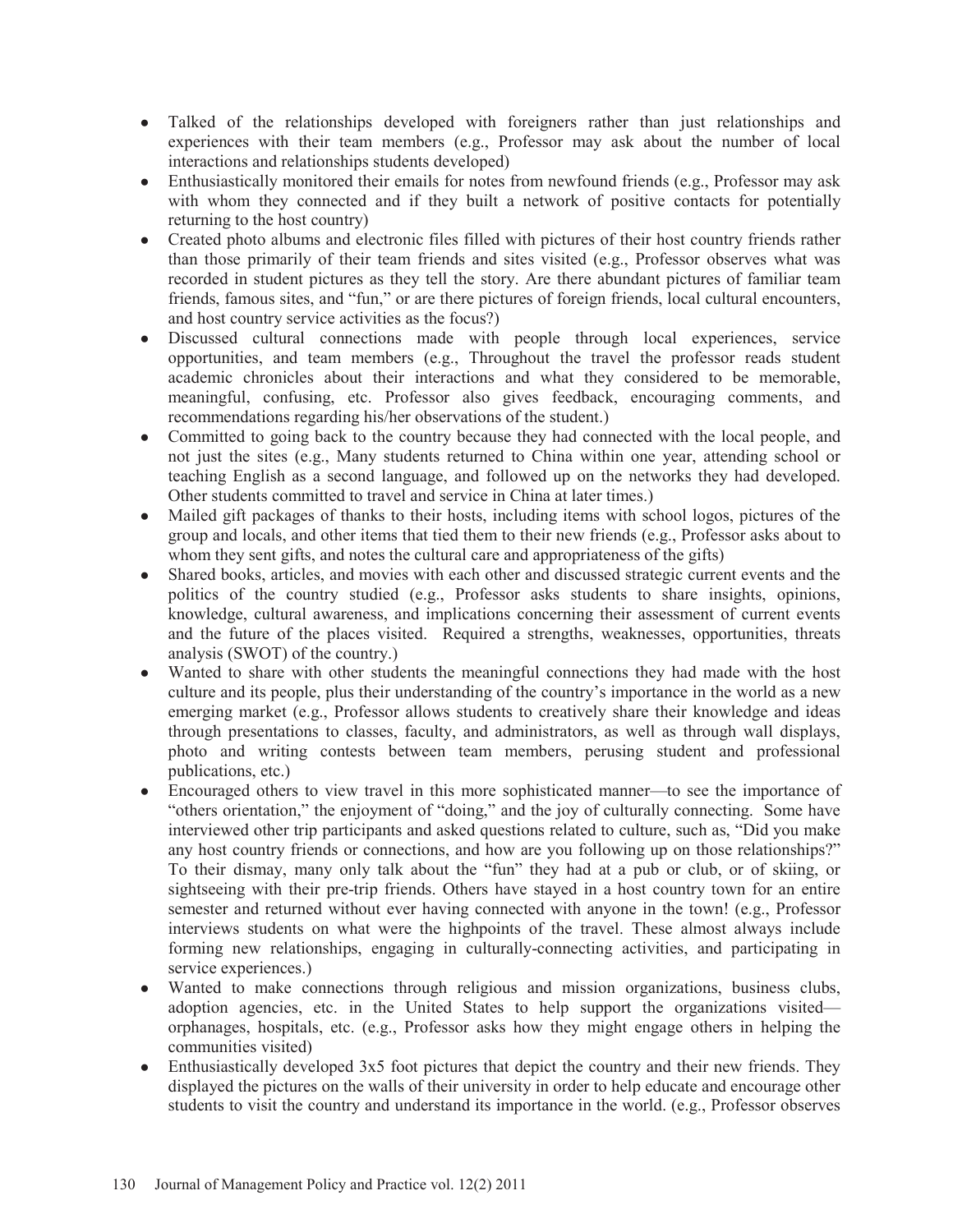- Talked of the relationships developed with foreigners rather than just relationships and experiences with their team members (e.g., Professor may ask about the number of local interactions and relationships students developed)
- Enthusiastically monitored their emails for notes from newfound friends (e.g., Professor may ask with whom they connected and if they built a network of positive contacts for potentially returning to the host country)
- Created photo albums and electronic files filled with pictures of their host country friends rather than those primarily of their team friends and sites visited (e.g., Professor observes what was recorded in student pictures as they tell the story. Are there abundant pictures of familiar team friends, famous sites, and "fun," or are there pictures of foreign friends, local cultural encounters, and host country service activities as the focus?)
- Discussed cultural connections made with people through local experiences, service opportunities, and team members (e.g., Throughout the travel the professor reads student academic chronicles about their interactions and what they considered to be memorable, meaningful, confusing, etc. Professor also gives feedback, encouraging comments, and recommendations regarding his/her observations of the student.)
- Committed to going back to the country because they had connected with the local people, and not just the sites (e.g., Many students returned to China within one year, attending school or teaching English as a second language, and followed up on the networks they had developed. Other students committed to travel and service in China at later times.)
- Mailed gift packages of thanks to their hosts, including items with school logos, pictures of the group and locals, and other items that tied them to their new friends (e.g., Professor asks about to whom they sent gifts, and notes the cultural care and appropriateness of the gifts)
- Shared books, articles, and movies with each other and discussed strategic current events and the politics of the country studied (e.g., Professor asks students to share insights, opinions, knowledge, cultural awareness, and implications concerning their assessment of current events and the future of the places visited. Required a strengths, weaknesses, opportunities, threats analysis (SWOT) of the country.)
- Wanted to share with other students the meaningful connections they had made with the host culture and its people, plus their understanding of the country's importance in the world as a new emerging market (e.g., Professor allows students to creatively share their knowledge and ideas through presentations to classes, faculty, and administrators, as well as through wall displays, photo and writing contests between team members, perusing student and professional publications, etc.)
- ł Encouraged others to view travel in this more sophisticated manner—to see the importance of "others orientation," the enjoyment of "doing," and the joy of culturally connecting. Some have interviewed other trip participants and asked questions related to culture, such as, "Did you make any host country friends or connections, and how are you following up on those relationships?" To their dismay, many only talk about the "fun" they had at a pub or club, or of skiing, or sightseeing with their pre-trip friends. Others have stayed in a host country town for an entire semester and returned without ever having connected with anyone in the town! (e.g., Professor interviews students on what were the highpoints of the travel. These almost always include forming new relationships, engaging in culturally-connecting activities, and participating in service experiences.)
- Wanted to make connections through religious and mission organizations, business clubs, adoption agencies, etc. in the United States to help support the organizations visited orphanages, hospitals, etc. (e.g., Professor asks how they might engage others in helping the communities visited)
- Enthusiastically developed 3x5 foot pictures that depict the country and their new friends. They displayed the pictures on the walls of their university in order to help educate and encourage other students to visit the country and understand its importance in the world. (e.g., Professor observes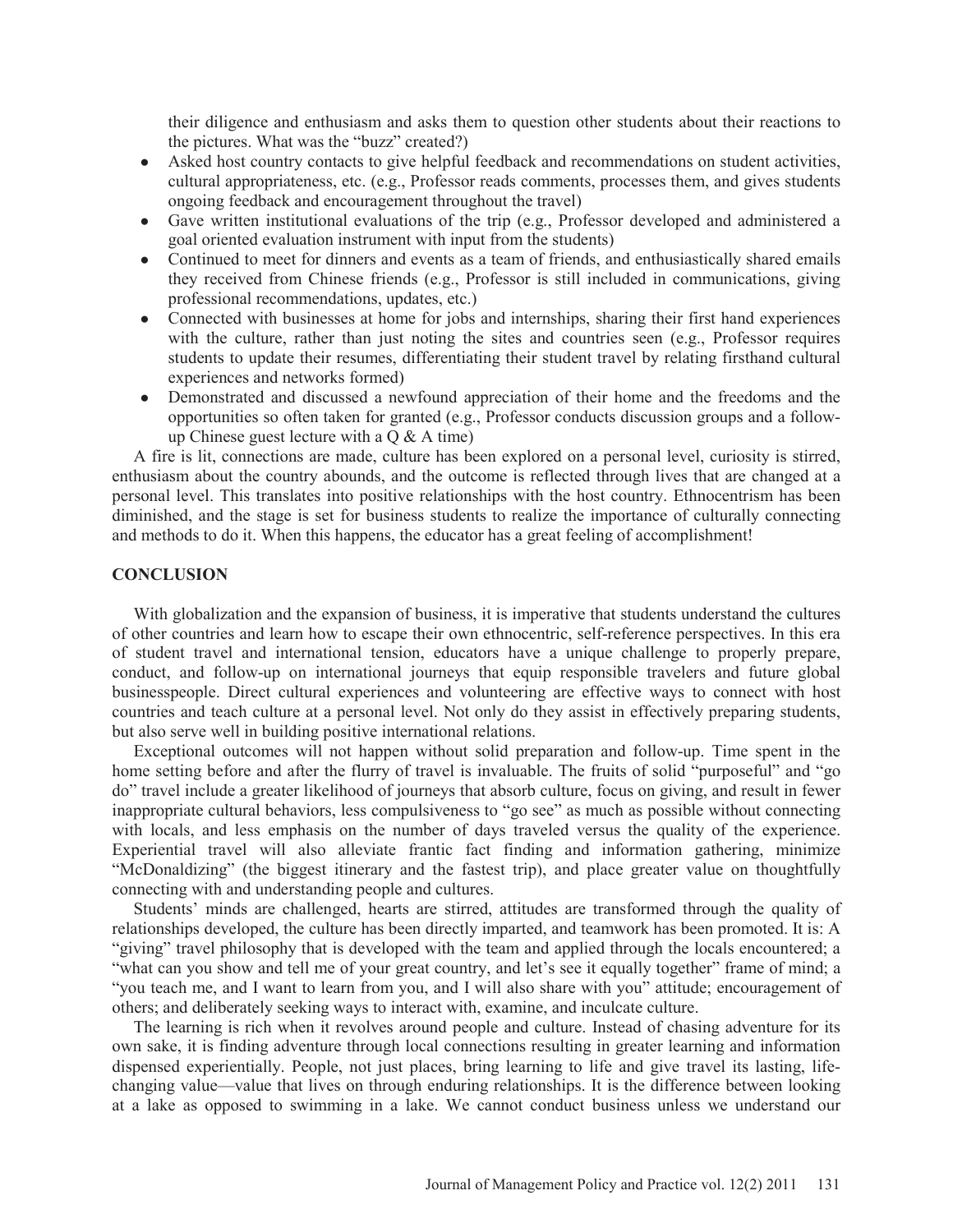their diligence and enthusiasm and asks them to question other students about their reactions to the pictures. What was the "buzz" created?)

- Asked host country contacts to give helpful feedback and recommendations on student activities, cultural appropriateness, etc. (e.g., Professor reads comments, processes them, and gives students ongoing feedback and encouragement throughout the travel)
- Gave written institutional evaluations of the trip (e.g., Professor developed and administered a goal oriented evaluation instrument with input from the students)
- Continued to meet for dinners and events as a team of friends, and enthusiastically shared emails they received from Chinese friends (e.g., Professor is still included in communications, giving professional recommendations, updates, etc.)
- Connected with businesses at home for jobs and internships, sharing their first hand experiences with the culture, rather than just noting the sites and countries seen (e.g., Professor requires students to update their resumes, differentiating their student travel by relating firsthand cultural experiences and networks formed)
- Demonstrated and discussed a newfound appreciation of their home and the freedoms and the opportunities so often taken for granted (e.g., Professor conducts discussion groups and a followup Chinese guest lecture with a  $Q & A$  time)

 A fire is lit, connections are made, culture has been explored on a personal level, curiosity is stirred, enthusiasm about the country abounds, and the outcome is reflected through lives that are changed at a personal level. This translates into positive relationships with the host country. Ethnocentrism has been diminished, and the stage is set for business students to realize the importance of culturally connecting and methods to do it. When this happens, the educator has a great feeling of accomplishment!

#### **CONCLUSION**

 With globalization and the expansion of business, it is imperative that students understand the cultures of other countries and learn how to escape their own ethnocentric, self-reference perspectives. In this era of student travel and international tension, educators have a unique challenge to properly prepare, conduct, and follow-up on international journeys that equip responsible travelers and future global businesspeople. Direct cultural experiences and volunteering are effective ways to connect with host countries and teach culture at a personal level. Not only do they assist in effectively preparing students, but also serve well in building positive international relations.

 Exceptional outcomes will not happen without solid preparation and follow-up. Time spent in the home setting before and after the flurry of travel is invaluable. The fruits of solid "purposeful" and "go do" travel include a greater likelihood of journeys that absorb culture, focus on giving, and result in fewer inappropriate cultural behaviors, less compulsiveness to "go see" as much as possible without connecting with locals, and less emphasis on the number of days traveled versus the quality of the experience. Experiential travel will also alleviate frantic fact finding and information gathering, minimize "McDonaldizing" (the biggest itinerary and the fastest trip), and place greater value on thoughtfully connecting with and understanding people and cultures.

 Students' minds are challenged, hearts are stirred, attitudes are transformed through the quality of relationships developed, the culture has been directly imparted, and teamwork has been promoted. It is: A "giving" travel philosophy that is developed with the team and applied through the locals encountered; a "what can you show and tell me of your great country, and let's see it equally together" frame of mind; a "you teach me, and I want to learn from you, and I will also share with you" attitude; encouragement of others; and deliberately seeking ways to interact with, examine, and inculcate culture.

 The learning is rich when it revolves around people and culture. Instead of chasing adventure for its own sake, it is finding adventure through local connections resulting in greater learning and information dispensed experientially. People, not just places, bring learning to life and give travel its lasting, lifechanging value—value that lives on through enduring relationships. It is the difference between looking at a lake as opposed to swimming in a lake. We cannot conduct business unless we understand our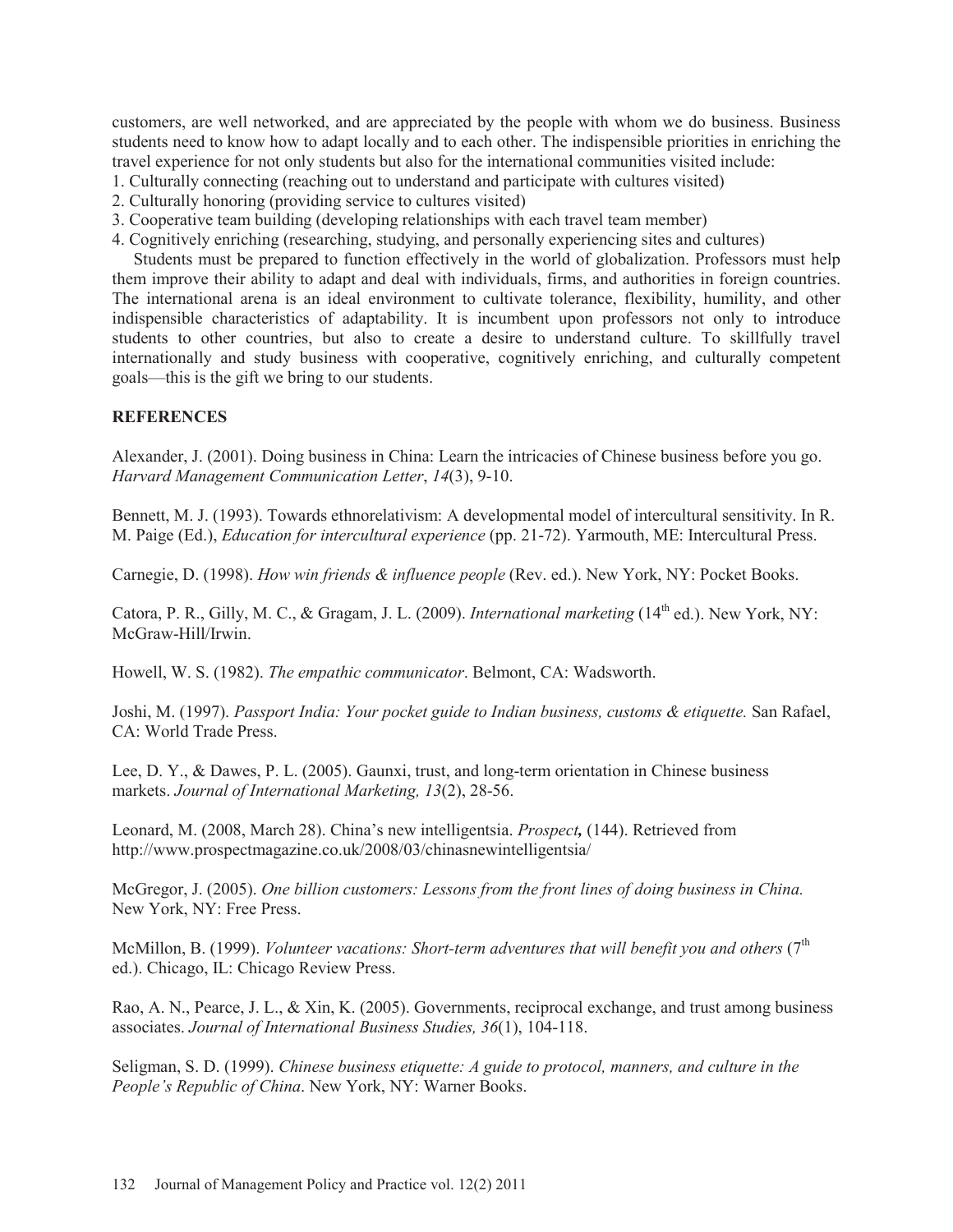customers, are well networked, and are appreciated by the people with whom we do business. Business students need to know how to adapt locally and to each other. The indispensible priorities in enriching the travel experience for not only students but also for the international communities visited include:

- 1. Culturally connecting (reaching out to understand and participate with cultures visited)
- 2. Culturally honoring (providing service to cultures visited)
- 3. Cooperative team building (developing relationships with each travel team member)
- 4. Cognitively enriching (researching, studying, and personally experiencing sites and cultures)

 Students must be prepared to function effectively in the world of globalization. Professors must help them improve their ability to adapt and deal with individuals, firms, and authorities in foreign countries. The international arena is an ideal environment to cultivate tolerance, flexibility, humility, and other indispensible characteristics of adaptability. It is incumbent upon professors not only to introduce students to other countries, but also to create a desire to understand culture. To skillfully travel internationally and study business with cooperative, cognitively enriching, and culturally competent goals—this is the gift we bring to our students.

# **REFERENCES**

Alexander, J. (2001). Doing business in China: Learn the intricacies of Chinese business before you go. *Harvard Management Communication Letter*, *14*(3), 9-10.

Bennett, M. J. (1993). Towards ethnorelativism: A developmental model of intercultural sensitivity. In R. M. Paige (Ed.), *Education for intercultural experience* (pp. 21-72). Yarmouth, ME: Intercultural Press.

Carnegie, D. (1998). *How win friends & influence people* (Rev. ed.). New York, NY: Pocket Books.

Catora, P. R., Gilly, M. C., & Gragam, J. L. (2009). *International marketing* (14<sup>th</sup> ed.). New York, NY: McGraw-Hill/Irwin.

Howell, W. S. (1982). *The empathic communicator*. Belmont, CA: Wadsworth.

Joshi, M. (1997). *Passport India: Your pocket guide to Indian business, customs & etiquette.* San Rafael, CA: World Trade Press.

Lee, D. Y., & Dawes, P. L. (2005). Gaunxi, trust, and long-term orientation in Chinese business markets. *Journal of International Marketing, 13*(2), 28-56.

Leonard, M. (2008, March 28). China's new intelligentsia. *Prospect,* (144). Retrieved from http://www.prospectmagazine.co.uk/2008/03/chinasnewintelligentsia/

McGregor, J. (2005). *One billion customers: Lessons from the front lines of doing business in China.* New York, NY: Free Press.

McMillon, B. (1999). *Volunteer vacations: Short-term adventures that will benefit you and others* (7<sup>th</sup> ed.). Chicago, IL: Chicago Review Press.

Rao, A. N., Pearce, J. L., & Xin, K. (2005). Governments, reciprocal exchange, and trust among business associates. *Journal of International Business Studies, 36*(1), 104-118.

Seligman, S. D. (1999). *Chinese business etiquette: A guide to protocol, manners, and culture in the People's Republic of China*. New York, NY: Warner Books.